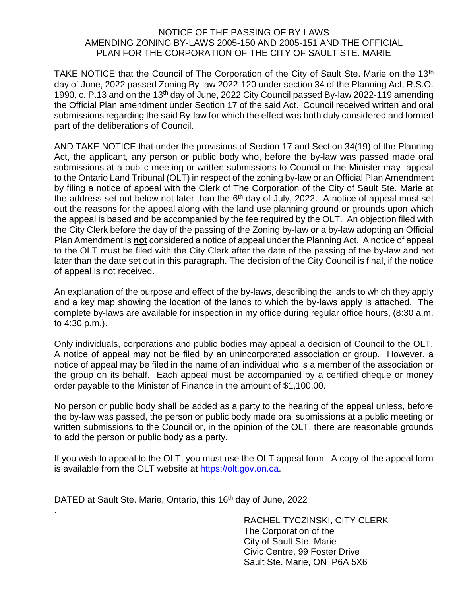## NOTICE OF THE PASSING OF BY-LAWS AMENDING ZONING BY-LAWS 2005-150 AND 2005-151 AND THE OFFICIAL PLAN FOR THE CORPORATION OF THE CITY OF SAULT STE. MARIE

TAKE NOTICE that the Council of The Corporation of the City of Sault Ste. Marie on the 13<sup>th</sup> day of June, 2022 passed Zoning By-law 2022-120 under section 34 of the Planning Act, R.S.O. 1990, c. P.13 and on the 13<sup>th</sup> day of June, 2022 City Council passed By-law 2022-119 amending the Official Plan amendment under Section 17 of the said Act. Council received written and oral submissions regarding the said By-law for which the effect was both duly considered and formed part of the deliberations of Council.

AND TAKE NOTICE that under the provisions of Section 17 and Section 34(19) of the Planning Act, the applicant, any person or public body who, before the by-law was passed made oral submissions at a public meeting or written submissions to Council or the Minister may appeal to the Ontario Land Tribunal (OLT) in respect of the zoning by-law or an Official Plan Amendment by filing a notice of appeal with the Clerk of The Corporation of the City of Sault Ste. Marie at the address set out below not later than the  $6<sup>th</sup>$  day of July, 2022. A notice of appeal must set out the reasons for the appeal along with the land use planning ground or grounds upon which the appeal is based and be accompanied by the fee required by the OLT. An objection filed with the City Clerk before the day of the passing of the Zoning by-law or a by-law adopting an Official Plan Amendment is **not** considered a notice of appeal under the Planning Act. A notice of appeal to the OLT must be filed with the City Clerk after the date of the passing of the by-law and not later than the date set out in this paragraph. The decision of the City Council is final, if the notice of appeal is not received.

An explanation of the purpose and effect of the by-laws, describing the lands to which they apply and a key map showing the location of the lands to which the by-laws apply is attached. The complete by-laws are available for inspection in my office during regular office hours, (8:30 a.m. to 4:30 p.m.).

Only individuals, corporations and public bodies may appeal a decision of Council to the OLT. A notice of appeal may not be filed by an unincorporated association or group. However, a notice of appeal may be filed in the name of an individual who is a member of the association or the group on its behalf. Each appeal must be accompanied by a certified cheque or money order payable to the Minister of Finance in the amount of \$1,100.00.

No person or public body shall be added as a party to the hearing of the appeal unless, before the by-law was passed, the person or public body made oral submissions at a public meeting or written submissions to the Council or, in the opinion of the OLT, there are reasonable grounds to add the person or public body as a party.

If you wish to appeal to the OLT, you must use the OLT appeal form. A copy of the appeal form is available from the OLT website at [https://olt.gov.on.ca.](https://olt.gov.on.ca/)

DATED at Sault Ste. Marie, Ontario, this 16<sup>th</sup> day of June, 2022

.

RACHEL TYCZINSKI, CITY CLERK The Corporation of the City of Sault Ste. Marie Civic Centre, 99 Foster Drive Sault Ste. Marie, ON P6A 5X6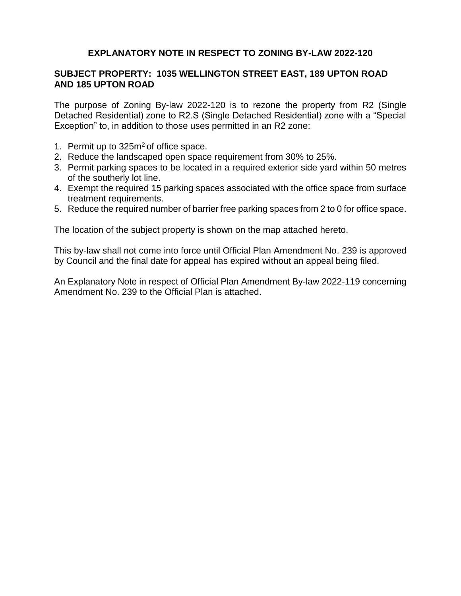# **EXPLANATORY NOTE IN RESPECT TO ZONING BY-LAW 2022-120**

# **SUBJECT PROPERTY: 1035 WELLINGTON STREET EAST, 189 UPTON ROAD AND 185 UPTON ROAD**

The purpose of Zoning By-law 2022-120 is to rezone the property from R2 (Single Detached Residential) zone to R2.S (Single Detached Residential) zone with a "Special Exception" to, in addition to those uses permitted in an R2 zone:

- 1. Permit up to  $325m^2$  of office space.
- 2. Reduce the landscaped open space requirement from 30% to 25%.
- 3. Permit parking spaces to be located in a required exterior side yard within 50 metres of the southerly lot line.
- 4. Exempt the required 15 parking spaces associated with the office space from surface treatment requirements.
- 5. Reduce the required number of barrier free parking spaces from 2 to 0 for office space.

The location of the subject property is shown on the map attached hereto.

This by-law shall not come into force until Official Plan Amendment No. 239 is approved by Council and the final date for appeal has expired without an appeal being filed.

An Explanatory Note in respect of Official Plan Amendment By-law 2022-119 concerning Amendment No. 239 to the Official Plan is attached.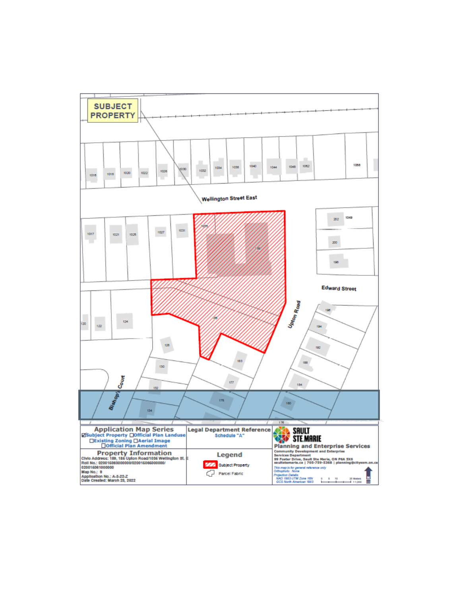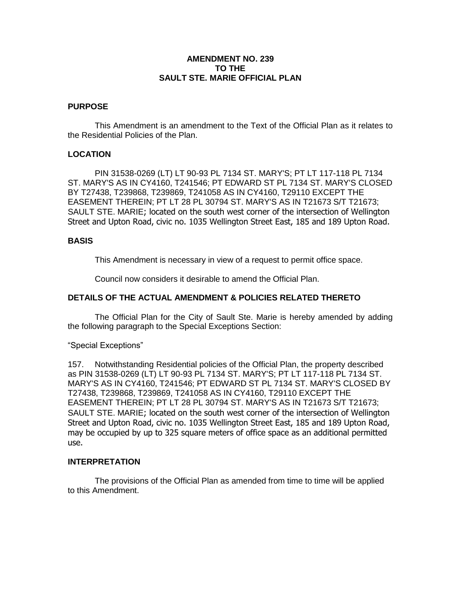### **AMENDMENT NO. 239 TO THE SAULT STE. MARIE OFFICIAL PLAN**

#### **PURPOSE**

This Amendment is an amendment to the Text of the Official Plan as it relates to the Residential Policies of the Plan.

#### **LOCATION**

PIN 31538-0269 (LT) LT 90-93 PL 7134 ST. MARY'S; PT LT 117-118 PL 7134 ST. MARY'S AS IN CY4160, T241546; PT EDWARD ST PL 7134 ST. MARY'S CLOSED BY T27438, T239868, T239869, T241058 AS IN CY4160, T29110 EXCEPT THE EASEMENT THEREIN; PT LT 28 PL 30794 ST. MARY'S AS IN T21673 S/T T21673; SAULT STE. MARIE; located on the south west corner of the intersection of Wellington Street and Upton Road, civic no. 1035 Wellington Street East, 185 and 189 Upton Road.

#### **BASIS**

This Amendment is necessary in view of a request to permit office space.

Council now considers it desirable to amend the Official Plan.

## **DETAILS OF THE ACTUAL AMENDMENT & POLICIES RELATED THERETO**

The Official Plan for the City of Sault Ste. Marie is hereby amended by adding the following paragraph to the Special Exceptions Section:

"Special Exceptions"

157. Notwithstanding Residential policies of the Official Plan, the property described as PIN 31538-0269 (LT) LT 90-93 PL 7134 ST. MARY'S; PT LT 117-118 PL 7134 ST. MARY'S AS IN CY4160, T241546; PT EDWARD ST PL 7134 ST. MARY'S CLOSED BY T27438, T239868, T239869, T241058 AS IN CY4160, T29110 EXCEPT THE EASEMENT THEREIN; PT LT 28 PL 30794 ST. MARY'S AS IN T21673 S/T T21673; SAULT STE. MARIE; located on the south west corner of the intersection of Wellington Street and Upton Road, civic no. 1035 Wellington Street East, 185 and 189 Upton Road, may be occupied by up to 325 square meters of office space as an additional permitted use.

#### **INTERPRETATION**

The provisions of the Official Plan as amended from time to time will be applied to this Amendment.